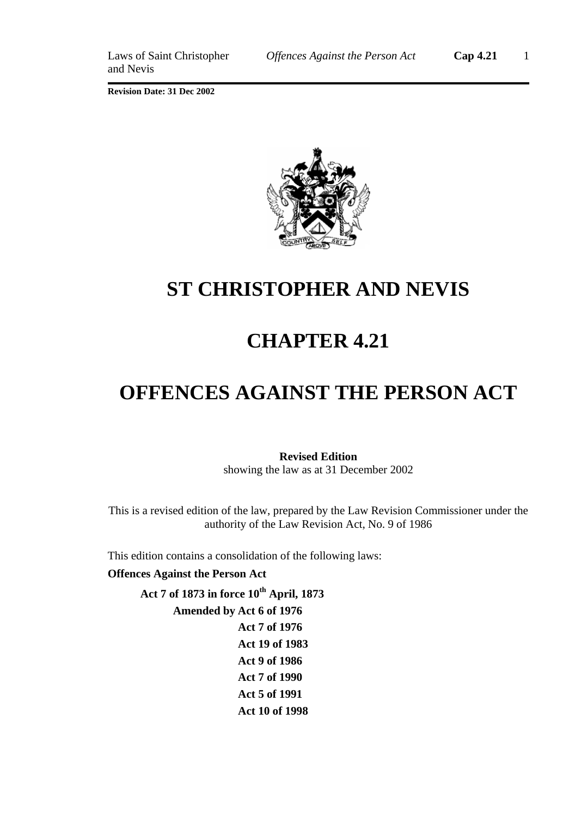Laws of Saint Christopher and Nevis

**Revision Date: 31 Dec 2002** 



# **ST CHRISTOPHER AND NEVIS**

# **CHAPTER 4.21**

# **OFFENCES AGAINST THE PERSON ACT**

# **Revised Edition**

showing the law as at 31 December 2002

This is a revised edition of the law, prepared by the Law Revision Commissioner under the authority of the Law Revision Act, No. 9 of 1986

This edition contains a consolidation of the following laws:

# **Offences Against the Person Act**

**Act 7 of 1873 in force 10th April, 1873 Amended by Act 6 of 1976 Act 7 of 1976 Act 19 of 1983 Act 9 of 1986 Act 7 of 1990 Act 5 of 1991 Act 10 of 1998**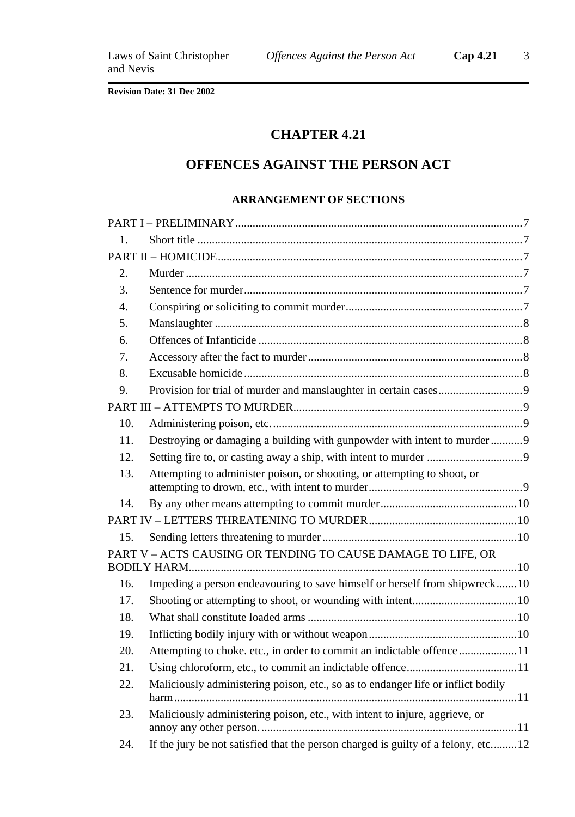Laws of Saint Christopher and Nevis

**Revision Date: 31 Dec 2002** 

# **CHAPTER 4.21**

# **OFFENCES AGAINST THE PERSON ACT**

# **ARRANGEMENT OF SECTIONS**

| 1.  |                                                                                   |  |  |
|-----|-----------------------------------------------------------------------------------|--|--|
|     |                                                                                   |  |  |
| 2.  |                                                                                   |  |  |
| 3.  |                                                                                   |  |  |
| 4.  |                                                                                   |  |  |
| 5.  |                                                                                   |  |  |
| 6.  |                                                                                   |  |  |
| 7.  |                                                                                   |  |  |
| 8.  |                                                                                   |  |  |
| 9.  |                                                                                   |  |  |
|     |                                                                                   |  |  |
| 10. |                                                                                   |  |  |
| 11. | Destroying or damaging a building with gunpowder with intent to murder 9          |  |  |
| 12. |                                                                                   |  |  |
| 13. | Attempting to administer poison, or shooting, or attempting to shoot, or          |  |  |
| 14. |                                                                                   |  |  |
|     |                                                                                   |  |  |
| 15. |                                                                                   |  |  |
|     | PART V - ACTS CAUSING OR TENDING TO CAUSE DAMAGE TO LIFE, OR                      |  |  |
| 16. | Impeding a person endeavouring to save himself or herself from shipwreck10        |  |  |
| 17. |                                                                                   |  |  |
| 18. |                                                                                   |  |  |
| 19. |                                                                                   |  |  |
| 20. | Attempting to choke. etc., in order to commit an indictable offence11             |  |  |
| 21. |                                                                                   |  |  |
| 22. | Maliciously administering poison, etc., so as to endanger life or inflict bodily  |  |  |
| 23. | Maliciously administering poison, etc., with intent to injure, aggrieve, or       |  |  |
| 24. | If the jury be not satisfied that the person charged is guilty of a felony, etc12 |  |  |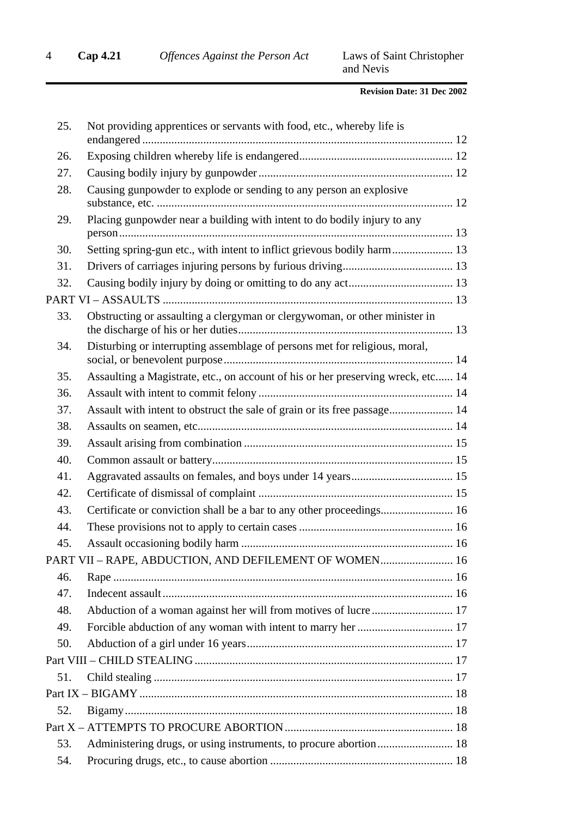| 25. | Not providing apprentices or servants with food, etc., whereby life is           |  |
|-----|----------------------------------------------------------------------------------|--|
| 26. |                                                                                  |  |
| 27. |                                                                                  |  |
| 28. | Causing gunpowder to explode or sending to any person an explosive               |  |
| 29. | Placing gunpowder near a building with intent to do bodily injury to any         |  |
| 30. |                                                                                  |  |
| 31. |                                                                                  |  |
| 32. |                                                                                  |  |
|     |                                                                                  |  |
| 33. | Obstructing or assaulting a clergyman or clergywoman, or other minister in       |  |
| 34. | Disturbing or interrupting assemblage of persons met for religious, moral,       |  |
| 35. | Assaulting a Magistrate, etc., on account of his or her preserving wreck, etc 14 |  |
| 36. |                                                                                  |  |
| 37. | Assault with intent to obstruct the sale of grain or its free passage 14         |  |
| 38. |                                                                                  |  |
| 39. |                                                                                  |  |
| 40. |                                                                                  |  |
| 41. |                                                                                  |  |
| 42. |                                                                                  |  |
| 43. | Certificate or conviction shall be a bar to any other proceedings 16             |  |
| 44. |                                                                                  |  |
| 45. |                                                                                  |  |
|     | PART VII - RAPE, ABDUCTION, AND DEFILEMENT OF WOMEN 16                           |  |
| 46. |                                                                                  |  |
| 47. |                                                                                  |  |
| 48. |                                                                                  |  |
| 49. |                                                                                  |  |
| 50. |                                                                                  |  |
|     |                                                                                  |  |
| 51. |                                                                                  |  |
|     |                                                                                  |  |
| 52. |                                                                                  |  |
|     |                                                                                  |  |
| 53. | Administering drugs, or using instruments, to procure abortion 18                |  |
| 54. |                                                                                  |  |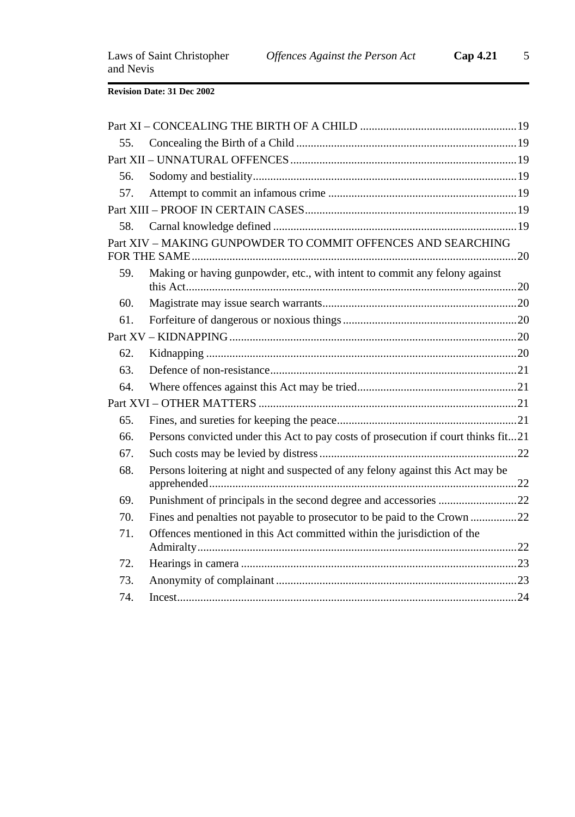| 55. |                                                                                    |  |  |  |
|-----|------------------------------------------------------------------------------------|--|--|--|
|     |                                                                                    |  |  |  |
| 56. |                                                                                    |  |  |  |
| 57. |                                                                                    |  |  |  |
|     |                                                                                    |  |  |  |
| 58. |                                                                                    |  |  |  |
|     | Part XIV - MAKING GUNPOWDER TO COMMIT OFFENCES AND SEARCHING                       |  |  |  |
| 59. | Making or having gunpowder, etc., with intent to commit any felony against         |  |  |  |
| 60. |                                                                                    |  |  |  |
| 61. |                                                                                    |  |  |  |
|     |                                                                                    |  |  |  |
| 62. |                                                                                    |  |  |  |
| 63. |                                                                                    |  |  |  |
| 64. |                                                                                    |  |  |  |
|     |                                                                                    |  |  |  |
| 65. |                                                                                    |  |  |  |
| 66. | Persons convicted under this Act to pay costs of prosecution if court thinks fit21 |  |  |  |
| 67. |                                                                                    |  |  |  |
| 68. | Persons loitering at night and suspected of any felony against this Act may be     |  |  |  |
| 69. |                                                                                    |  |  |  |
| 70. | Fines and penalties not payable to prosecutor to be paid to the Crown 22           |  |  |  |
| 71. | Offences mentioned in this Act committed within the jurisdiction of the            |  |  |  |
| 72. |                                                                                    |  |  |  |
| 73. |                                                                                    |  |  |  |
| 74. |                                                                                    |  |  |  |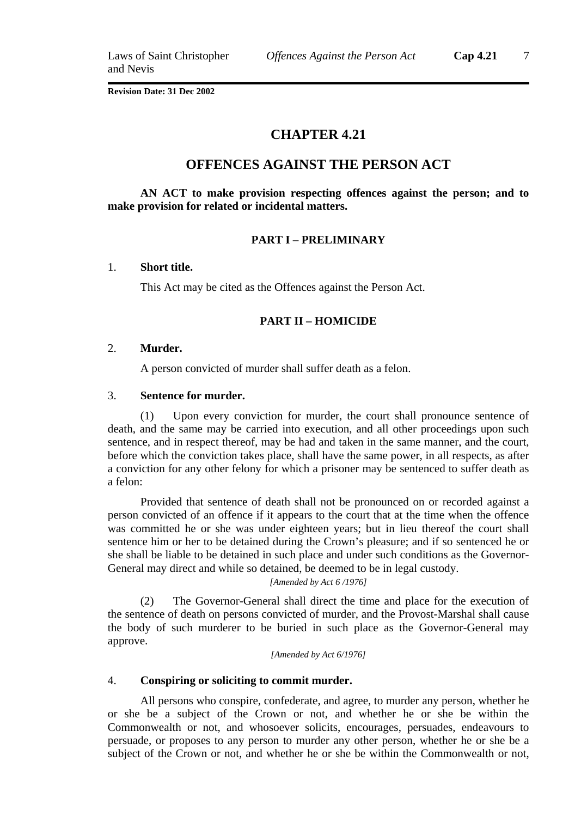# **CHAPTER 4.21**

# **OFFENCES AGAINST THE PERSON ACT**

# **AN ACT to make provision respecting offences against the person; and to make provision for related or incidental matters.**

#### **PART I – PRELIMINARY**

#### 1. **Short title.**

This Act may be cited as the Offences against the Person Act.

# **PART II – HOMICIDE**

#### 2. **Murder.**

A person convicted of murder shall suffer death as a felon.

#### 3. **Sentence for murder.**

(1) Upon every conviction for murder, the court shall pronounce sentence of death, and the same may be carried into execution, and all other proceedings upon such sentence, and in respect thereof, may be had and taken in the same manner, and the court, before which the conviction takes place, shall have the same power, in all respects, as after a conviction for any other felony for which a prisoner may be sentenced to suffer death as a felon:

Provided that sentence of death shall not be pronounced on or recorded against a person convicted of an offence if it appears to the court that at the time when the offence was committed he or she was under eighteen years; but in lieu thereof the court shall sentence him or her to be detained during the Crown's pleasure; and if so sentenced he or she shall be liable to be detained in such place and under such conditions as the Governor-General may direct and while so detained, be deemed to be in legal custody.

#### *[Amended by Act 6 /1976]*

(2) The Governor-General shall direct the time and place for the execution of the sentence of death on persons convicted of murder, and the Provost-Marshal shall cause the body of such murderer to be buried in such place as the Governor-General may approve.

*[Amended by Act 6/1976]* 

#### 4. **Conspiring or soliciting to commit murder.**

All persons who conspire, confederate, and agree, to murder any person, whether he or she be a subject of the Crown or not, and whether he or she be within the Commonwealth or not, and whosoever solicits, encourages, persuades, endeavours to persuade, or proposes to any person to murder any other person, whether he or she be a subject of the Crown or not, and whether he or she be within the Commonwealth or not,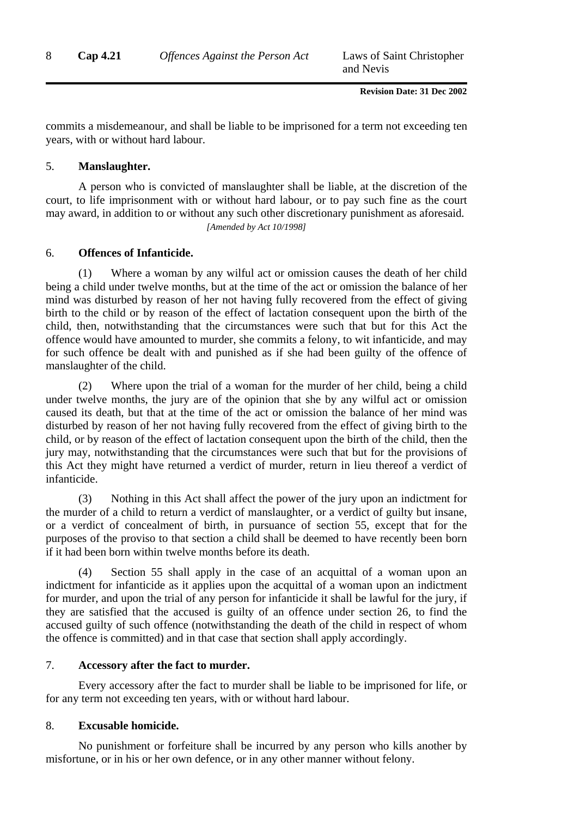commits a misdemeanour, and shall be liable to be imprisoned for a term not exceeding ten years, with or without hard labour.

#### 5. **Manslaughter.**

A person who is convicted of manslaughter shall be liable, at the discretion of the court, to life imprisonment with or without hard labour, or to pay such fine as the court may award, in addition to or without any such other discretionary punishment as aforesaid*. [Amended by Act 10/1998]* 

## 6. **Offences of Infanticide.**

(1) Where a woman by any wilful act or omission causes the death of her child being a child under twelve months, but at the time of the act or omission the balance of her mind was disturbed by reason of her not having fully recovered from the effect of giving birth to the child or by reason of the effect of lactation consequent upon the birth of the child, then, notwithstanding that the circumstances were such that but for this Act the offence would have amounted to murder, she commits a felony, to wit infanticide, and may for such offence be dealt with and punished as if she had been guilty of the offence of manslaughter of the child.

(2) Where upon the trial of a woman for the murder of her child, being a child under twelve months, the jury are of the opinion that she by any wilful act or omission caused its death, but that at the time of the act or omission the balance of her mind was disturbed by reason of her not having fully recovered from the effect of giving birth to the child, or by reason of the effect of lactation consequent upon the birth of the child, then the jury may, notwithstanding that the circumstances were such that but for the provisions of this Act they might have returned a verdict of murder, return in lieu thereof a verdict of infanticide.

(3) Nothing in this Act shall affect the power of the jury upon an indictment for the murder of a child to return a verdict of manslaughter, or a verdict of guilty but insane, or a verdict of concealment of birth, in pursuance of section 55, except that for the purposes of the proviso to that section a child shall be deemed to have recently been born if it had been born within twelve months before its death.

(4) Section 55 shall apply in the case of an acquittal of a woman upon an indictment for infanticide as it applies upon the acquittal of a woman upon an indictment for murder, and upon the trial of any person for infanticide it shall be lawful for the jury, if they are satisfied that the accused is guilty of an offence under section 26, to find the accused guilty of such offence (notwithstanding the death of the child in respect of whom the offence is committed) and in that case that section shall apply accordingly.

# 7. **Accessory after the fact to murder.**

Every accessory after the fact to murder shall be liable to be imprisoned for life, or for any term not exceeding ten years, with or without hard labour.

# 8. **Excusable homicide.**

No punishment or forfeiture shall be incurred by any person who kills another by misfortune, or in his or her own defence, or in any other manner without felony.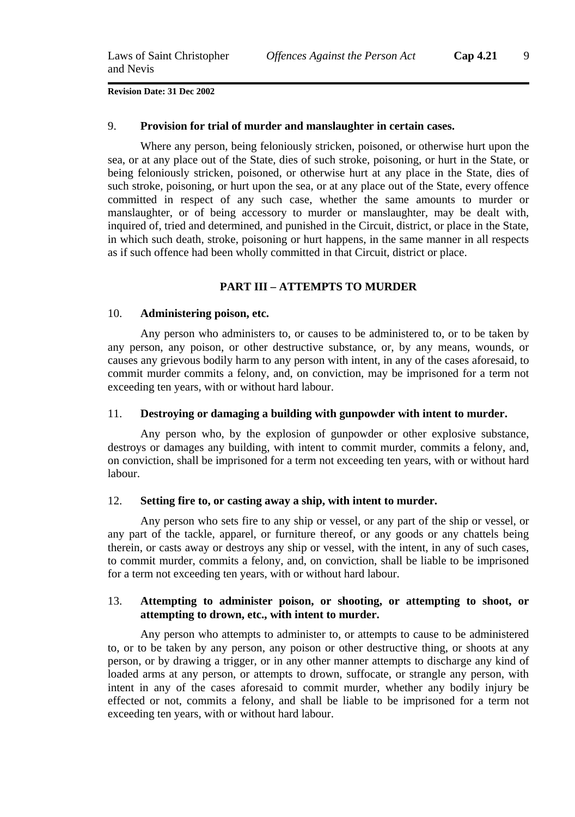# 9. **Provision for trial of murder and manslaughter in certain cases.**

Where any person, being feloniously stricken, poisoned, or otherwise hurt upon the sea, or at any place out of the State, dies of such stroke, poisoning, or hurt in the State, or being feloniously stricken, poisoned, or otherwise hurt at any place in the State, dies of such stroke, poisoning, or hurt upon the sea, or at any place out of the State, every offence committed in respect of any such case, whether the same amounts to murder or manslaughter, or of being accessory to murder or manslaughter, may be dealt with, inquired of, tried and determined, and punished in the Circuit, district, or place in the State, in which such death, stroke, poisoning or hurt happens, in the same manner in all respects as if such offence had been wholly committed in that Circuit, district or place.

# **PART III – ATTEMPTS TO MURDER**

# 10. **Administering poison, etc.**

Any person who administers to, or causes to be administered to, or to be taken by any person, any poison, or other destructive substance, or, by any means, wounds, or causes any grievous bodily harm to any person with intent, in any of the cases aforesaid, to commit murder commits a felony, and, on conviction, may be imprisoned for a term not exceeding ten years, with or without hard labour.

## 11. **Destroying or damaging a building with gunpowder with intent to murder.**

Any person who, by the explosion of gunpowder or other explosive substance, destroys or damages any building, with intent to commit murder, commits a felony, and, on conviction, shall be imprisoned for a term not exceeding ten years, with or without hard labour.

# 12. **Setting fire to, or casting away a ship, with intent to murder.**

Any person who sets fire to any ship or vessel, or any part of the ship or vessel, or any part of the tackle, apparel, or furniture thereof, or any goods or any chattels being therein, or casts away or destroys any ship or vessel, with the intent, in any of such cases, to commit murder, commits a felony, and, on conviction, shall be liable to be imprisoned for a term not exceeding ten years, with or without hard labour.

# 13. **Attempting to administer poison, or shooting, or attempting to shoot, or attempting to drown, etc., with intent to murder.**

Any person who attempts to administer to, or attempts to cause to be administered to, or to be taken by any person, any poison or other destructive thing, or shoots at any person, or by drawing a trigger, or in any other manner attempts to discharge any kind of loaded arms at any person, or attempts to drown, suffocate, or strangle any person, with intent in any of the cases aforesaid to commit murder, whether any bodily injury be effected or not, commits a felony, and shall be liable to be imprisoned for a term not exceeding ten years, with or without hard labour.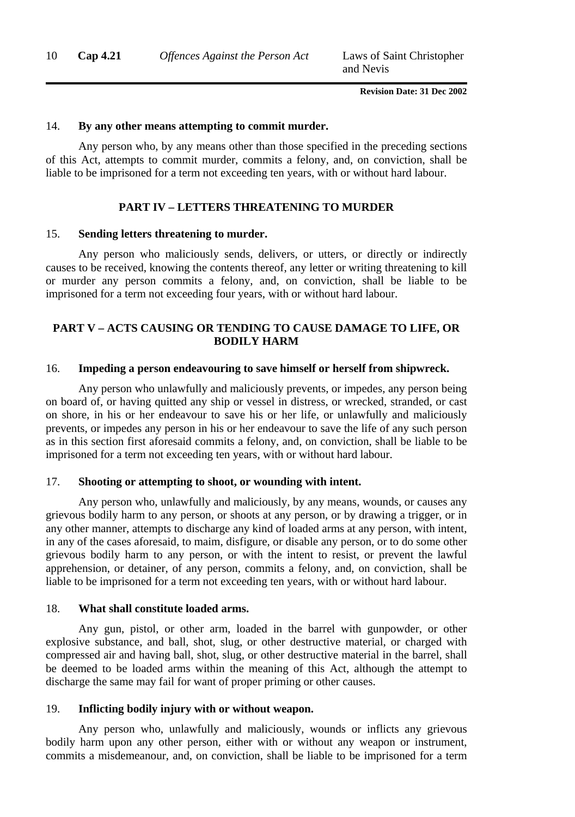and Nevis

#### **Revision Date: 31 Dec 2002**

#### 14. **By any other means attempting to commit murder.**

Any person who, by any means other than those specified in the preceding sections of this Act, attempts to commit murder, commits a felony, and, on conviction, shall be liable to be imprisoned for a term not exceeding ten years, with or without hard labour.

# **PART IV – LETTERS THREATENING TO MURDER**

#### 15. **Sending letters threatening to murder.**

Any person who maliciously sends, delivers, or utters, or directly or indirectly causes to be received, knowing the contents thereof, any letter or writing threatening to kill or murder any person commits a felony, and, on conviction, shall be liable to be imprisoned for a term not exceeding four years, with or without hard labour.

# **PART V – ACTS CAUSING OR TENDING TO CAUSE DAMAGE TO LIFE, OR BODILY HARM**

# 16. **Impeding a person endeavouring to save himself or herself from shipwreck.**

Any person who unlawfully and maliciously prevents, or impedes, any person being on board of, or having quitted any ship or vessel in distress, or wrecked, stranded, or cast on shore, in his or her endeavour to save his or her life, or unlawfully and maliciously prevents, or impedes any person in his or her endeavour to save the life of any such person as in this section first aforesaid commits a felony, and, on conviction, shall be liable to be imprisoned for a term not exceeding ten years, with or without hard labour.

#### 17. **Shooting or attempting to shoot, or wounding with intent.**

Any person who, unlawfully and maliciously, by any means, wounds, or causes any grievous bodily harm to any person, or shoots at any person, or by drawing a trigger, or in any other manner, attempts to discharge any kind of loaded arms at any person, with intent, in any of the cases aforesaid, to maim, disfigure, or disable any person, or to do some other grievous bodily harm to any person, or with the intent to resist, or prevent the lawful apprehension, or detainer, of any person, commits a felony, and, on conviction, shall be liable to be imprisoned for a term not exceeding ten years, with or without hard labour.

#### 18. **What shall constitute loaded arms.**

Any gun, pistol, or other arm, loaded in the barrel with gunpowder, or other explosive substance, and ball, shot, slug, or other destructive material, or charged with compressed air and having ball, shot, slug, or other destructive material in the barrel, shall be deemed to be loaded arms within the meaning of this Act, although the attempt to discharge the same may fail for want of proper priming or other causes.

#### 19. **Inflicting bodily injury with or without weapon.**

Any person who, unlawfully and maliciously, wounds or inflicts any grievous bodily harm upon any other person, either with or without any weapon or instrument, commits a misdemeanour, and, on conviction, shall be liable to be imprisoned for a term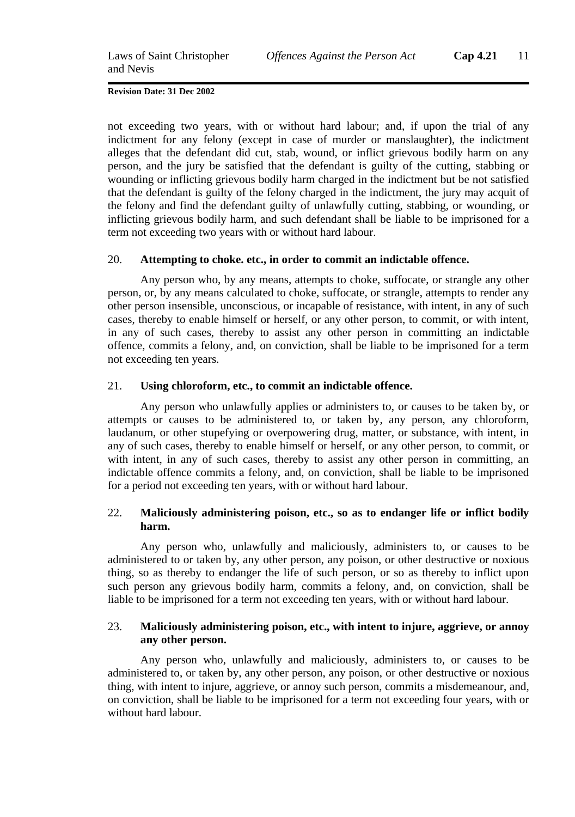not exceeding two years, with or without hard labour; and, if upon the trial of any indictment for any felony (except in case of murder or manslaughter), the indictment alleges that the defendant did cut, stab, wound, or inflict grievous bodily harm on any person, and the jury be satisfied that the defendant is guilty of the cutting, stabbing or wounding or inflicting grievous bodily harm charged in the indictment but be not satisfied that the defendant is guilty of the felony charged in the indictment, the jury may acquit of the felony and find the defendant guilty of unlawfully cutting, stabbing, or wounding, or inflicting grievous bodily harm, and such defendant shall be liable to be imprisoned for a term not exceeding two years with or without hard labour.

#### 20. **Attempting to choke. etc., in order to commit an indictable offence.**

Any person who, by any means, attempts to choke, suffocate, or strangle any other person, or, by any means calculated to choke, suffocate, or strangle, attempts to render any other person insensible, unconscious, or incapable of resistance, with intent, in any of such cases, thereby to enable himself or herself, or any other person, to commit, or with intent, in any of such cases, thereby to assist any other person in committing an indictable offence, commits a felony, and, on conviction, shall be liable to be imprisoned for a term not exceeding ten years.

#### 21. **Using chloroform, etc., to commit an indictable offence.**

Any person who unlawfully applies or administers to, or causes to be taken by, or attempts or causes to be administered to, or taken by, any person, any chloroform, laudanum, or other stupefying or overpowering drug, matter, or substance, with intent, in any of such cases, thereby to enable himself or herself, or any other person, to commit, or with intent, in any of such cases, thereby to assist any other person in committing, an indictable offence commits a felony, and, on conviction, shall be liable to be imprisoned for a period not exceeding ten years, with or without hard labour.

# 22. **Maliciously administering poison, etc., so as to endanger life or inflict bodily harm.**

Any person who, unlawfully and maliciously, administers to, or causes to be administered to or taken by, any other person, any poison, or other destructive or noxious thing, so as thereby to endanger the life of such person, or so as thereby to inflict upon such person any grievous bodily harm, commits a felony, and, on conviction, shall be liable to be imprisoned for a term not exceeding ten years, with or without hard labour.

# 23. **Maliciously administering poison, etc., with intent to injure, aggrieve, or annoy any other person.**

Any person who, unlawfully and maliciously, administers to, or causes to be administered to, or taken by, any other person, any poison, or other destructive or noxious thing, with intent to injure, aggrieve, or annoy such person, commits a misdemeanour, and, on conviction, shall be liable to be imprisoned for a term not exceeding four years, with or without hard labour.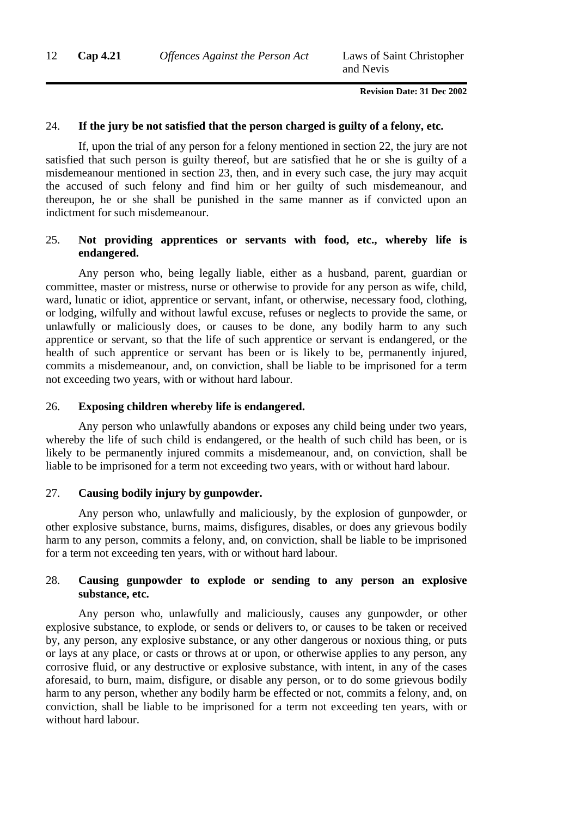and Nevis

**Revision Date: 31 Dec 2002** 

#### 24. **If the jury be not satisfied that the person charged is guilty of a felony, etc.**

If, upon the trial of any person for a felony mentioned in section 22, the jury are not satisfied that such person is guilty thereof, but are satisfied that he or she is guilty of a misdemeanour mentioned in section 23, then, and in every such case, the jury may acquit the accused of such felony and find him or her guilty of such misdemeanour, and thereupon, he or she shall be punished in the same manner as if convicted upon an indictment for such misdemeanour.

# 25. **Not providing apprentices or servants with food, etc., whereby life is endangered.**

Any person who, being legally liable, either as a husband, parent, guardian or committee, master or mistress, nurse or otherwise to provide for any person as wife, child, ward, lunatic or idiot, apprentice or servant, infant, or otherwise, necessary food, clothing, or lodging, wilfully and without lawful excuse, refuses or neglects to provide the same, or unlawfully or maliciously does, or causes to be done, any bodily harm to any such apprentice or servant, so that the life of such apprentice or servant is endangered, or the health of such apprentice or servant has been or is likely to be, permanently injured, commits a misdemeanour, and, on conviction, shall be liable to be imprisoned for a term not exceeding two years, with or without hard labour.

#### 26. **Exposing children whereby life is endangered.**

Any person who unlawfully abandons or exposes any child being under two years, whereby the life of such child is endangered, or the health of such child has been, or is likely to be permanently injured commits a misdemeanour, and, on conviction, shall be liable to be imprisoned for a term not exceeding two years, with or without hard labour.

# 27. **Causing bodily injury by gunpowder.**

Any person who, unlawfully and maliciously, by the explosion of gunpowder, or other explosive substance, burns, maims, disfigures, disables, or does any grievous bodily harm to any person, commits a felony, and, on conviction, shall be liable to be imprisoned for a term not exceeding ten years, with or without hard labour.

# 28. **Causing gunpowder to explode or sending to any person an explosive substance, etc.**

Any person who, unlawfully and maliciously, causes any gunpowder, or other explosive substance, to explode, or sends or delivers to, or causes to be taken or received by, any person, any explosive substance, or any other dangerous or noxious thing, or puts or lays at any place, or casts or throws at or upon, or otherwise applies to any person, any corrosive fluid, or any destructive or explosive substance, with intent, in any of the cases aforesaid, to burn, maim, disfigure, or disable any person, or to do some grievous bodily harm to any person, whether any bodily harm be effected or not, commits a felony, and, on conviction, shall be liable to be imprisoned for a term not exceeding ten years, with or without hard labour.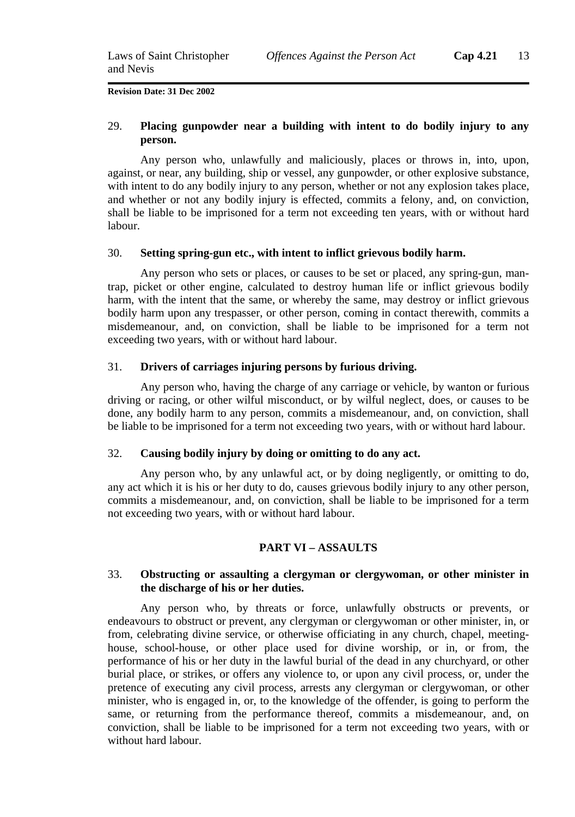# 29. **Placing gunpowder near a building with intent to do bodily injury to any person.**

Any person who, unlawfully and maliciously, places or throws in, into, upon, against, or near, any building, ship or vessel, any gunpowder, or other explosive substance, with intent to do any bodily injury to any person, whether or not any explosion takes place, and whether or not any bodily injury is effected, commits a felony, and, on conviction, shall be liable to be imprisoned for a term not exceeding ten years, with or without hard labour.

#### 30. **Setting spring-gun etc., with intent to inflict grievous bodily harm.**

Any person who sets or places, or causes to be set or placed, any spring-gun, mantrap, picket or other engine, calculated to destroy human life or inflict grievous bodily harm, with the intent that the same, or whereby the same, may destroy or inflict grievous bodily harm upon any trespasser, or other person, coming in contact therewith, commits a misdemeanour, and, on conviction, shall be liable to be imprisoned for a term not exceeding two years, with or without hard labour.

#### 31. **Drivers of carriages injuring persons by furious driving.**

Any person who, having the charge of any carriage or vehicle, by wanton or furious driving or racing, or other wilful misconduct, or by wilful neglect, does, or causes to be done, any bodily harm to any person, commits a misdemeanour, and, on conviction, shall be liable to be imprisoned for a term not exceeding two years, with or without hard labour.

#### 32. **Causing bodily injury by doing or omitting to do any act.**

Any person who, by any unlawful act, or by doing negligently, or omitting to do, any act which it is his or her duty to do, causes grievous bodily injury to any other person, commits a misdemeanour, and, on conviction, shall be liable to be imprisoned for a term not exceeding two years, with or without hard labour.

#### **PART VI – ASSAULTS**

# 33. **Obstructing or assaulting a clergyman or clergywoman, or other minister in the discharge of his or her duties.**

Any person who, by threats or force, unlawfully obstructs or prevents, or endeavours to obstruct or prevent, any clergyman or clergywoman or other minister, in, or from, celebrating divine service, or otherwise officiating in any church, chapel, meetinghouse, school-house, or other place used for divine worship, or in, or from, the performance of his or her duty in the lawful burial of the dead in any churchyard, or other burial place, or strikes, or offers any violence to, or upon any civil process, or, under the pretence of executing any civil process, arrests any clergyman or clergywoman, or other minister, who is engaged in, or, to the knowledge of the offender, is going to perform the same, or returning from the performance thereof, commits a misdemeanour, and, on conviction, shall be liable to be imprisoned for a term not exceeding two years, with or without hard labour.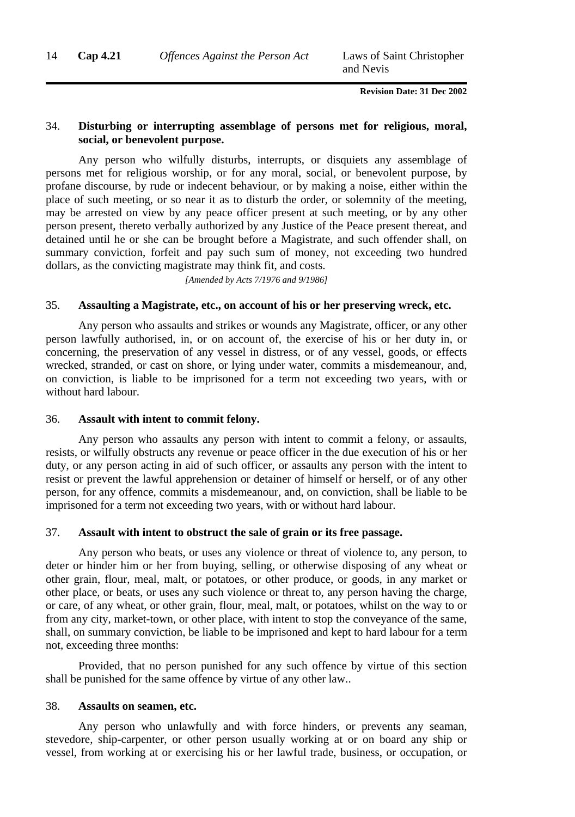# 34. **Disturbing or interrupting assemblage of persons met for religious, moral, social, or benevolent purpose.**

Any person who wilfully disturbs, interrupts, or disquiets any assemblage of persons met for religious worship, or for any moral, social, or benevolent purpose, by profane discourse, by rude or indecent behaviour, or by making a noise, either within the place of such meeting, or so near it as to disturb the order, or solemnity of the meeting, may be arrested on view by any peace officer present at such meeting, or by any other person present, thereto verbally authorized by any Justice of the Peace present thereat, and detained until he or she can be brought before a Magistrate, and such offender shall, on summary conviction, forfeit and pay such sum of money, not exceeding two hundred dollars, as the convicting magistrate may think fit, and costs.

*[Amended by Acts 7/1976 and 9/1986]* 

#### 35. **Assaulting a Magistrate, etc., on account of his or her preserving wreck, etc.**

Any person who assaults and strikes or wounds any Magistrate, officer, or any other person lawfully authorised, in, or on account of, the exercise of his or her duty in, or concerning, the preservation of any vessel in distress, or of any vessel, goods, or effects wrecked, stranded, or cast on shore, or lying under water, commits a misdemeanour, and, on conviction, is liable to be imprisoned for a term not exceeding two years, with or without hard labour.

#### 36. **Assault with intent to commit felony.**

Any person who assaults any person with intent to commit a felony, or assaults, resists, or wilfully obstructs any revenue or peace officer in the due execution of his or her duty, or any person acting in aid of such officer, or assaults any person with the intent to resist or prevent the lawful apprehension or detainer of himself or herself, or of any other person, for any offence, commits a misdemeanour, and, on conviction, shall be liable to be imprisoned for a term not exceeding two years, with or without hard labour.

# 37. **Assault with intent to obstruct the sale of grain or its free passage.**

Any person who beats, or uses any violence or threat of violence to, any person, to deter or hinder him or her from buying, selling, or otherwise disposing of any wheat or other grain, flour, meal, malt, or potatoes, or other produce, or goods, in any market or other place, or beats, or uses any such violence or threat to, any person having the charge, or care, of any wheat, or other grain, flour, meal, malt, or potatoes, whilst on the way to or from any city, market-town, or other place, with intent to stop the conveyance of the same, shall, on summary conviction, be liable to be imprisoned and kept to hard labour for a term not, exceeding three months:

Provided, that no person punished for any such offence by virtue of this section shall be punished for the same offence by virtue of any other law..

#### 38. **Assaults on seamen, etc.**

Any person who unlawfully and with force hinders, or prevents any seaman, stevedore, ship-carpenter, or other person usually working at or on board any ship or vessel, from working at or exercising his or her lawful trade, business, or occupation, or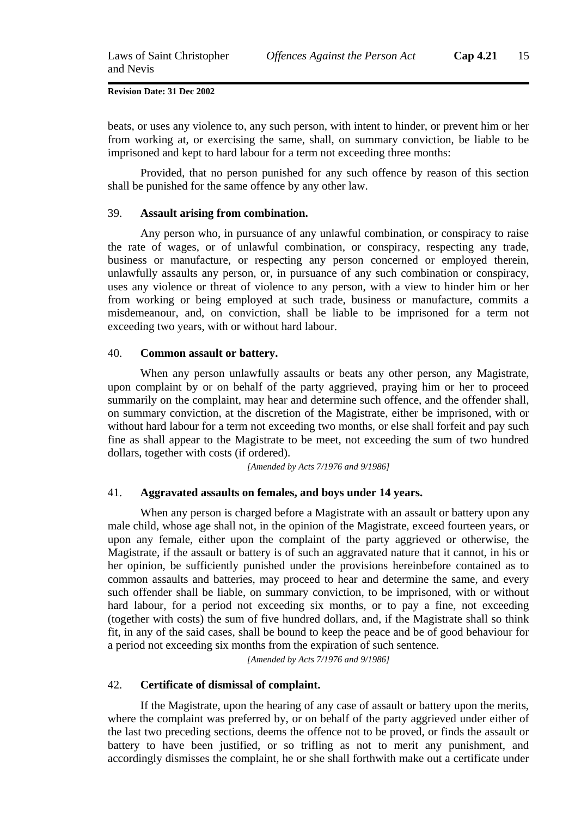beats, or uses any violence to, any such person, with intent to hinder, or prevent him or her from working at, or exercising the same, shall, on summary conviction, be liable to be imprisoned and kept to hard labour for a term not exceeding three months:

Provided, that no person punished for any such offence by reason of this section shall be punished for the same offence by any other law.

#### 39. **Assault arising from combination.**

Any person who, in pursuance of any unlawful combination, or conspiracy to raise the rate of wages, or of unlawful combination, or conspiracy, respecting any trade, business or manufacture, or respecting any person concerned or employed therein, unlawfully assaults any person, or, in pursuance of any such combination or conspiracy, uses any violence or threat of violence to any person, with a view to hinder him or her from working or being employed at such trade, business or manufacture, commits a misdemeanour, and, on conviction, shall be liable to be imprisoned for a term not exceeding two years, with or without hard labour.

# 40. **Common assault or battery.**

When any person unlawfully assaults or beats any other person, any Magistrate, upon complaint by or on behalf of the party aggrieved, praying him or her to proceed summarily on the complaint, may hear and determine such offence, and the offender shall, on summary conviction, at the discretion of the Magistrate, either be imprisoned, with or without hard labour for a term not exceeding two months, or else shall forfeit and pay such fine as shall appear to the Magistrate to be meet, not exceeding the sum of two hundred dollars, together with costs (if ordered).

*[Amended by Acts 7/1976 and 9/1986]* 

#### 41. **Aggravated assaults on females, and boys under 14 years.**

When any person is charged before a Magistrate with an assault or battery upon any male child, whose age shall not, in the opinion of the Magistrate, exceed fourteen years, or upon any female, either upon the complaint of the party aggrieved or otherwise, the Magistrate, if the assault or battery is of such an aggravated nature that it cannot, in his or her opinion, be sufficiently punished under the provisions hereinbefore contained as to common assaults and batteries, may proceed to hear and determine the same, and every such offender shall be liable, on summary conviction, to be imprisoned, with or without hard labour, for a period not exceeding six months, or to pay a fine, not exceeding (together with costs) the sum of five hundred dollars, and, if the Magistrate shall so think fit, in any of the said cases, shall be bound to keep the peace and be of good behaviour for a period not exceeding six months from the expiration of such sentence.

*[Amended by Acts 7/1976 and 9/1986]* 

# 42. **Certificate of dismissal of complaint.**

If the Magistrate, upon the hearing of any case of assault or battery upon the merits, where the complaint was preferred by, or on behalf of the party aggrieved under either of the last two preceding sections, deems the offence not to be proved, or finds the assault or battery to have been justified, or so trifling as not to merit any punishment, and accordingly dismisses the complaint, he or she shall forthwith make out a certificate under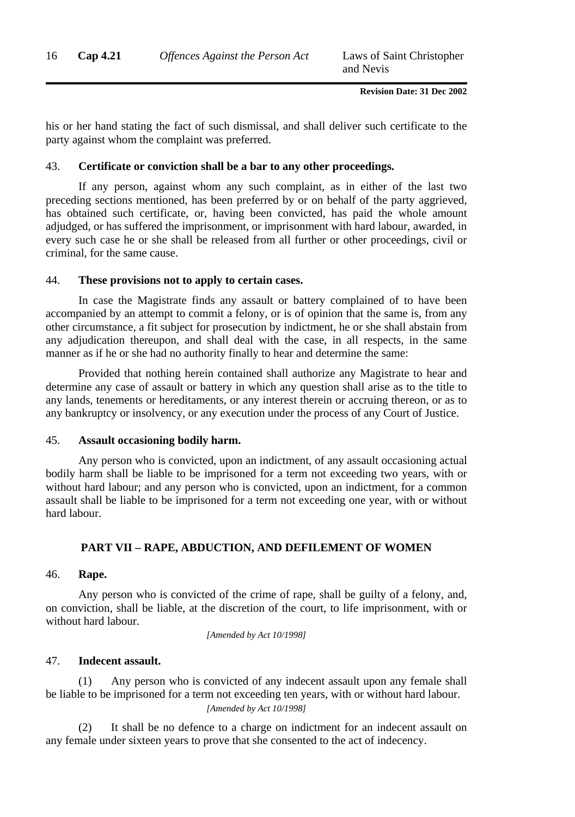his or her hand stating the fact of such dismissal, and shall deliver such certificate to the party against whom the complaint was preferred.

#### 43. **Certificate or conviction shall be a bar to any other proceedings.**

If any person, against whom any such complaint, as in either of the last two preceding sections mentioned, has been preferred by or on behalf of the party aggrieved, has obtained such certificate, or, having been convicted, has paid the whole amount adjudged, or has suffered the imprisonment, or imprisonment with hard labour, awarded, in every such case he or she shall be released from all further or other proceedings, civil or criminal, for the same cause.

#### 44. **These provisions not to apply to certain cases.**

In case the Magistrate finds any assault or battery complained of to have been accompanied by an attempt to commit a felony, or is of opinion that the same is, from any other circumstance, a fit subject for prosecution by indictment, he or she shall abstain from any adjudication thereupon, and shall deal with the case, in all respects, in the same manner as if he or she had no authority finally to hear and determine the same:

Provided that nothing herein contained shall authorize any Magistrate to hear and determine any case of assault or battery in which any question shall arise as to the title to any lands, tenements or hereditaments, or any interest therein or accruing thereon, or as to any bankruptcy or insolvency, or any execution under the process of any Court of Justice.

# 45. **Assault occasioning bodily harm.**

Any person who is convicted, upon an indictment, of any assault occasioning actual bodily harm shall be liable to be imprisoned for a term not exceeding two years, with or without hard labour; and any person who is convicted, upon an indictment, for a common assault shall be liable to be imprisoned for a term not exceeding one year, with or without hard labour.

#### **PART VII – RAPE, ABDUCTION, AND DEFILEMENT OF WOMEN**

#### 46. **Rape.**

Any person who is convicted of the crime of rape, shall be guilty of a felony, and, on conviction, shall be liable, at the discretion of the court, to life imprisonment, with or without hard labour.

*[Amended by Act 10/1998]* 

#### 47. **Indecent assault.**

(1) Any person who is convicted of any indecent assault upon any female shall be liable to be imprisoned for a term not exceeding ten years, with or without hard labour. *[Amended by Act 10/1998]* 

(2) It shall be no defence to a charge on indictment for an indecent assault on any female under sixteen years to prove that she consented to the act of indecency.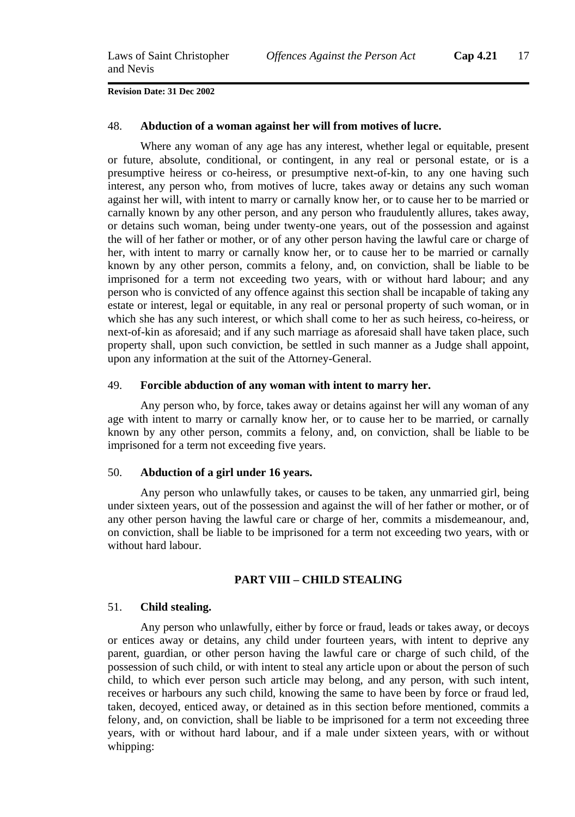#### 48. **Abduction of a woman against her will from motives of lucre.**

Where any woman of any age has any interest, whether legal or equitable, present or future, absolute, conditional, or contingent, in any real or personal estate, or is a presumptive heiress or co-heiress, or presumptive next-of-kin, to any one having such interest, any person who, from motives of lucre, takes away or detains any such woman against her will, with intent to marry or carnally know her, or to cause her to be married or carnally known by any other person, and any person who fraudulently allures, takes away, or detains such woman, being under twenty-one years, out of the possession and against the will of her father or mother, or of any other person having the lawful care or charge of her, with intent to marry or carnally know her, or to cause her to be married or carnally known by any other person, commits a felony, and, on conviction, shall be liable to be imprisoned for a term not exceeding two years, with or without hard labour; and any person who is convicted of any offence against this section shall be incapable of taking any estate or interest, legal or equitable, in any real or personal property of such woman, or in which she has any such interest, or which shall come to her as such heiress, co-heiress, or next-of-kin as aforesaid; and if any such marriage as aforesaid shall have taken place, such property shall, upon such conviction, be settled in such manner as a Judge shall appoint, upon any information at the suit of the Attorney-General.

#### 49. **Forcible abduction of any woman with intent to marry her.**

Any person who, by force, takes away or detains against her will any woman of any age with intent to marry or carnally know her, or to cause her to be married, or carnally known by any other person, commits a felony, and, on conviction, shall be liable to be imprisoned for a term not exceeding five years.

#### 50. **Abduction of a girl under 16 years.**

Any person who unlawfully takes, or causes to be taken, any unmarried girl, being under sixteen years, out of the possession and against the will of her father or mother, or of any other person having the lawful care or charge of her, commits a misdemeanour, and, on conviction, shall be liable to be imprisoned for a term not exceeding two years, with or without hard labour.

## **PART VIII – CHILD STEALING**

#### 51. **Child stealing.**

Any person who unlawfully, either by force or fraud, leads or takes away, or decoys or entices away or detains, any child under fourteen years, with intent to deprive any parent, guardian, or other person having the lawful care or charge of such child, of the possession of such child, or with intent to steal any article upon or about the person of such child, to which ever person such article may belong, and any person, with such intent, receives or harbours any such child, knowing the same to have been by force or fraud led, taken, decoyed, enticed away, or detained as in this section before mentioned, commits a felony, and, on conviction, shall be liable to be imprisoned for a term not exceeding three years, with or without hard labour, and if a male under sixteen years, with or without whipping: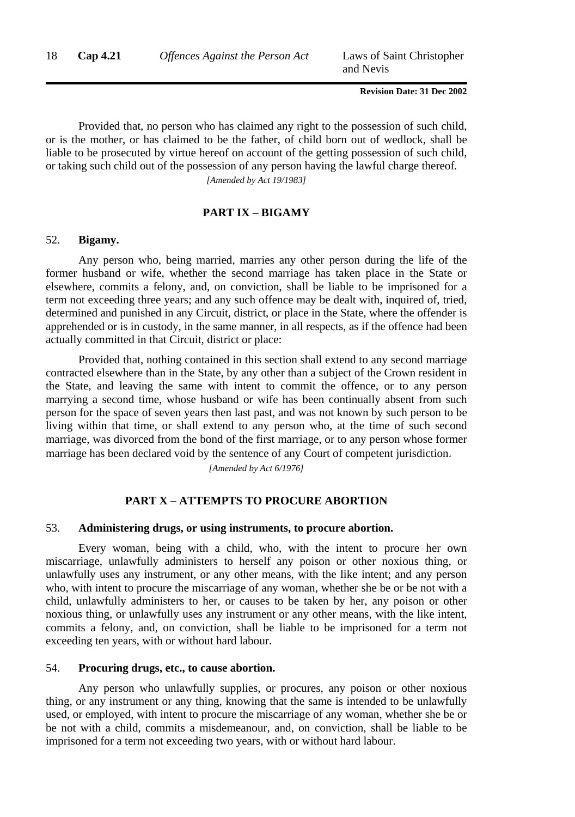and Nevis

#### **Revision Date: 31 Dec 2002**

Provided that, no person who has claimed any right to the possession of such child, or is the mother, or has claimed to be the father, of child born out of wedlock, shall be liable to be prosecuted by virtue hereof on account of the getting possession of such child, or taking such child out of the possession of any person having the lawful charge thereof*. [Amended by Act 19/1983]* 

**PART IX – BIGAMY** 

#### 52. **Bigamy.**

Any person who, being married, marries any other person during the life of the former husband or wife, whether the second marriage has taken place in the State or elsewhere, commits a felony, and, on conviction, shall be liable to be imprisoned for a term not exceeding three years; and any such offence may be dealt with, inquired of, tried, determined and punished in any Circuit, district, or place in the State, where the offender is apprehended or is in custody, in the same manner, in all respects, as if the offence had been actually committed in that Circuit, district or place:

Provided that, nothing contained in this section shall extend to any second marriage contracted elsewhere than in the State, by any other than a subject of the Crown resident in the State, and leaving the same with intent to commit the offence, or to any person marrying a second time, whose husband or wife has been continually absent from such person for the space of seven years then last past, and was not known by such person to be living within that time, or shall extend to any person who, at the time of such second marriage, was divorced from the bond of the first marriage, or to any person whose former marriage has been declared void by the sentence of any Court of competent jurisdiction.

*[Amended by Act 6/1976]* 

# **PART X – ATTEMPTS TO PROCURE ABORTION**

#### 53. **Administering drugs, or using instruments, to procure abortion.**

Every woman, being with a child, who, with the intent to procure her own miscarriage, unlawfully administers to herself any poison or other noxious thing, or unlawfully uses any instrument, or any other means, with the like intent; and any person who, with intent to procure the miscarriage of any woman, whether she be or be not with a child, unlawfully administers to her, or causes to be taken by her, any poison or other noxious thing, or unlawfully uses any instrument or any other means, with the like intent, commits a felony, and, on conviction, shall be liable to be imprisoned for a term not exceeding ten years, with or without hard labour.

# 54. **Procuring drugs, etc., to cause abortion.**

Any person who unlawfully supplies, or procures, any poison or other noxious thing, or any instrument or any thing, knowing that the same is intended to be unlawfully used, or employed, with intent to procure the miscarriage of any woman, whether she be or be not with a child, commits a misdemeanour, and, on conviction, shall be liable to be imprisoned for a term not exceeding two years, with or without hard labour.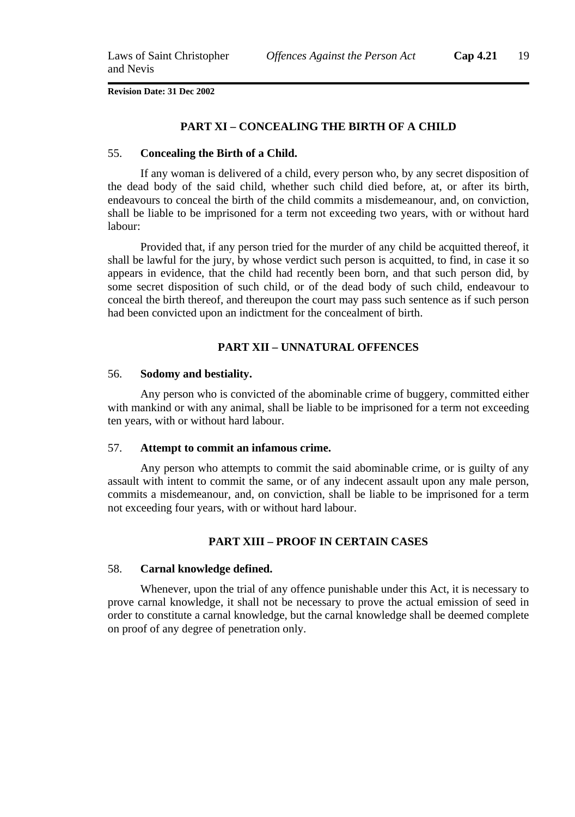#### **PART XI – CONCEALING THE BIRTH OF A CHILD**

#### 55. **Concealing the Birth of a Child.**

If any woman is delivered of a child, every person who, by any secret disposition of the dead body of the said child, whether such child died before, at, or after its birth, endeavours to conceal the birth of the child commits a misdemeanour, and, on conviction, shall be liable to be imprisoned for a term not exceeding two years, with or without hard labour:

Provided that, if any person tried for the murder of any child be acquitted thereof, it shall be lawful for the jury, by whose verdict such person is acquitted, to find, in case it so appears in evidence, that the child had recently been born, and that such person did, by some secret disposition of such child, or of the dead body of such child, endeavour to conceal the birth thereof, and thereupon the court may pass such sentence as if such person had been convicted upon an indictment for the concealment of birth.

# **PART XII – UNNATURAL OFFENCES**

#### 56. **Sodomy and bestiality.**

Any person who is convicted of the abominable crime of buggery, committed either with mankind or with any animal, shall be liable to be imprisoned for a term not exceeding ten years, with or without hard labour.

#### 57. **Attempt to commit an infamous crime.**

Any person who attempts to commit the said abominable crime, or is guilty of any assault with intent to commit the same, or of any indecent assault upon any male person, commits a misdemeanour, and, on conviction, shall be liable to be imprisoned for a term not exceeding four years, with or without hard labour.

#### **PART XIII – PROOF IN CERTAIN CASES**

#### 58. **Carnal knowledge defined.**

Whenever, upon the trial of any offence punishable under this Act, it is necessary to prove carnal knowledge, it shall not be necessary to prove the actual emission of seed in order to constitute a carnal knowledge, but the carnal knowledge shall be deemed complete on proof of any degree of penetration only.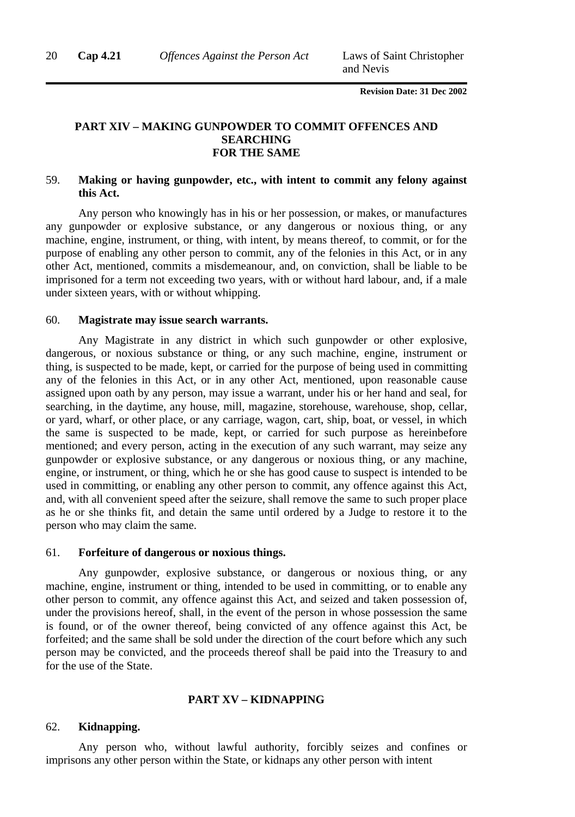# **PART XIV – MAKING GUNPOWDER TO COMMIT OFFENCES AND SEARCHING FOR THE SAME**

# 59. **Making or having gunpowder, etc., with intent to commit any felony against this Act.**

Any person who knowingly has in his or her possession, or makes, or manufactures any gunpowder or explosive substance, or any dangerous or noxious thing, or any machine, engine, instrument, or thing, with intent, by means thereof, to commit, or for the purpose of enabling any other person to commit, any of the felonies in this Act, or in any other Act, mentioned, commits a misdemeanour, and, on conviction, shall be liable to be imprisoned for a term not exceeding two years, with or without hard labour, and, if a male under sixteen years, with or without whipping.

# 60. **Magistrate may issue search warrants.**

Any Magistrate in any district in which such gunpowder or other explosive, dangerous, or noxious substance or thing, or any such machine, engine, instrument or thing, is suspected to be made, kept, or carried for the purpose of being used in committing any of the felonies in this Act, or in any other Act, mentioned, upon reasonable cause assigned upon oath by any person, may issue a warrant, under his or her hand and seal, for searching, in the daytime, any house, mill, magazine, storehouse, warehouse, shop, cellar, or yard, wharf, or other place, or any carriage, wagon, cart, ship, boat, or vessel, in which the same is suspected to be made, kept, or carried for such purpose as hereinbefore mentioned; and every person, acting in the execution of any such warrant, may seize any gunpowder or explosive substance, or any dangerous or noxious thing, or any machine, engine, or instrument, or thing, which he or she has good cause to suspect is intended to be used in committing, or enabling any other person to commit, any offence against this Act, and, with all convenient speed after the seizure, shall remove the same to such proper place as he or she thinks fit, and detain the same until ordered by a Judge to restore it to the person who may claim the same.

#### 61. **Forfeiture of dangerous or noxious things.**

Any gunpowder, explosive substance, or dangerous or noxious thing, or any machine, engine, instrument or thing, intended to be used in committing, or to enable any other person to commit, any offence against this Act, and seized and taken possession of, under the provisions hereof, shall, in the event of the person in whose possession the same is found, or of the owner thereof, being convicted of any offence against this Act, be forfeited; and the same shall be sold under the direction of the court before which any such person may be convicted, and the proceeds thereof shall be paid into the Treasury to and for the use of the State.

## **PART XV – KIDNAPPING**

#### 62. **Kidnapping.**

Any person who, without lawful authority, forcibly seizes and confines or imprisons any other person within the State, or kidnaps any other person with intent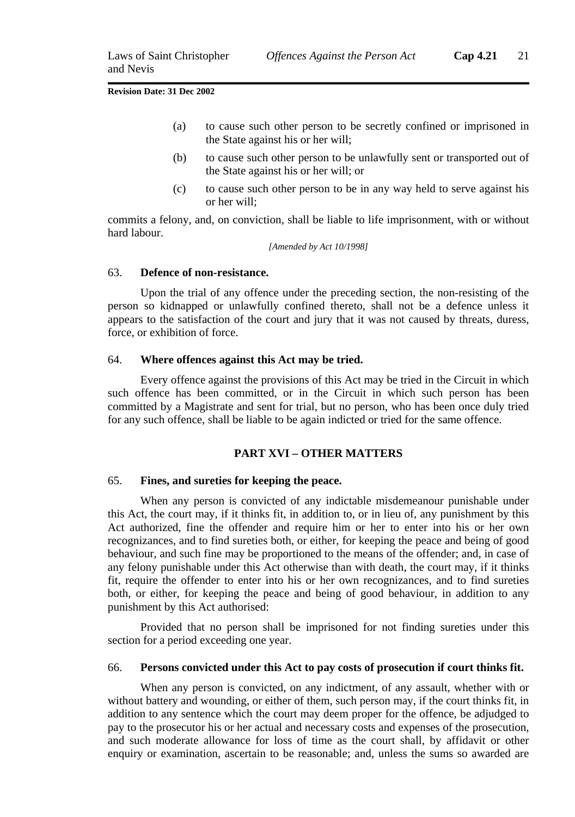- (a) to cause such other person to be secretly confined or imprisoned in the State against his or her will;
- (b) to cause such other person to be unlawfully sent or transported out of the State against his or her will; or
- (c) to cause such other person to be in any way held to serve against his or her will;

commits a felony, and, on conviction, shall be liable to life imprisonment, with or without hard labour.

*[Amended by Act 10/1998]* 

#### 63. **Defence of non-resistance.**

Upon the trial of any offence under the preceding section, the non-resisting of the person so kidnapped or unlawfully confined thereto, shall not be a defence unless it appears to the satisfaction of the court and jury that it was not caused by threats, duress, force, or exhibition of force.

#### 64. **Where offences against this Act may be tried.**

Every offence against the provisions of this Act may be tried in the Circuit in which such offence has been committed, or in the Circuit in which such person has been committed by a Magistrate and sent for trial, but no person, who has been once duly tried for any such offence, shall be liable to be again indicted or tried for the same offence.

#### **PART XVI – OTHER MATTERS**

## 65. **Fines, and sureties for keeping the peace.**

When any person is convicted of any indictable misdemeanour punishable under this Act, the court may, if it thinks fit, in addition to, or in lieu of, any punishment by this Act authorized, fine the offender and require him or her to enter into his or her own recognizances, and to find sureties both, or either, for keeping the peace and being of good behaviour, and such fine may be proportioned to the means of the offender; and, in case of any felony punishable under this Act otherwise than with death, the court may, if it thinks fit, require the offender to enter into his or her own recognizances, and to find sureties both, or either, for keeping the peace and being of good behaviour, in addition to any punishment by this Act authorised:

Provided that no person shall be imprisoned for not finding sureties under this section for a period exceeding one year.

#### 66. **Persons convicted under this Act to pay costs of prosecution if court thinks fit.**

When any person is convicted, on any indictment, of any assault, whether with or without battery and wounding, or either of them, such person may, if the court thinks fit, in addition to any sentence which the court may deem proper for the offence, be adjudged to pay to the prosecutor his or her actual and necessary costs and expenses of the prosecution, and such moderate allowance for loss of time as the court shall, by affidavit or other enquiry or examination, ascertain to be reasonable; and, unless the sums so awarded are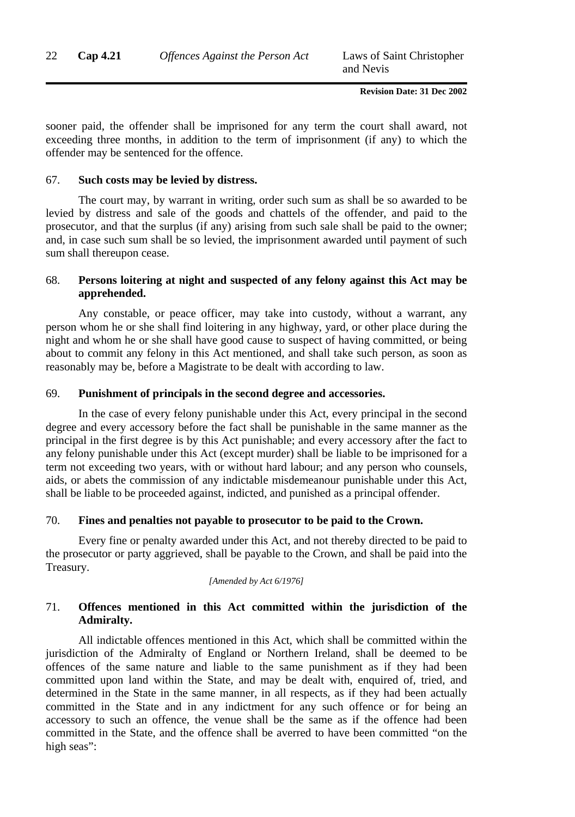sooner paid, the offender shall be imprisoned for any term the court shall award, not exceeding three months, in addition to the term of imprisonment (if any) to which the offender may be sentenced for the offence.

#### 67. **Such costs may be levied by distress.**

The court may, by warrant in writing, order such sum as shall be so awarded to be levied by distress and sale of the goods and chattels of the offender, and paid to the prosecutor, and that the surplus (if any) arising from such sale shall be paid to the owner; and, in case such sum shall be so levied, the imprisonment awarded until payment of such sum shall thereupon cease.

# 68. **Persons loitering at night and suspected of any felony against this Act may be apprehended.**

Any constable, or peace officer, may take into custody, without a warrant, any person whom he or she shall find loitering in any highway, yard, or other place during the night and whom he or she shall have good cause to suspect of having committed, or being about to commit any felony in this Act mentioned, and shall take such person, as soon as reasonably may be, before a Magistrate to be dealt with according to law.

#### 69. **Punishment of principals in the second degree and accessories.**

In the case of every felony punishable under this Act, every principal in the second degree and every accessory before the fact shall be punishable in the same manner as the principal in the first degree is by this Act punishable; and every accessory after the fact to any felony punishable under this Act (except murder) shall be liable to be imprisoned for a term not exceeding two years, with or without hard labour; and any person who counsels, aids, or abets the commission of any indictable misdemeanour punishable under this Act, shall be liable to be proceeded against, indicted, and punished as a principal offender.

# 70. **Fines and penalties not payable to prosecutor to be paid to the Crown.**

Every fine or penalty awarded under this Act, and not thereby directed to be paid to the prosecutor or party aggrieved, shall be payable to the Crown, and shall be paid into the Treasury.

# *[Amended by Act 6/1976]*

# 71. **Offences mentioned in this Act committed within the jurisdiction of the Admiralty.**

All indictable offences mentioned in this Act, which shall be committed within the jurisdiction of the Admiralty of England or Northern Ireland, shall be deemed to be offences of the same nature and liable to the same punishment as if they had been committed upon land within the State, and may be dealt with, enquired of, tried, and determined in the State in the same manner, in all respects, as if they had been actually committed in the State and in any indictment for any such offence or for being an accessory to such an offence, the venue shall be the same as if the offence had been committed in the State, and the offence shall be averred to have been committed "on the high seas":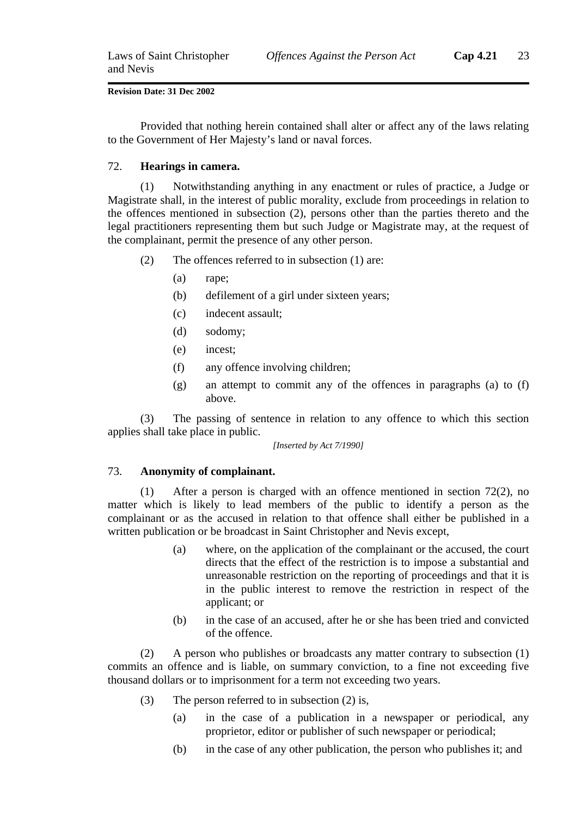Provided that nothing herein contained shall alter or affect any of the laws relating to the Government of Her Majesty's land or naval forces.

#### 72. **Hearings in camera.**

(1) Notwithstanding anything in any enactment or rules of practice, a Judge or Magistrate shall, in the interest of public morality, exclude from proceedings in relation to the offences mentioned in subsection (2), persons other than the parties thereto and the legal practitioners representing them but such Judge or Magistrate may, at the request of the complainant, permit the presence of any other person.

- (2) The offences referred to in subsection (1) are:
	- (a) rape;
	- (b) defilement of a girl under sixteen years;
	- (c) indecent assault;
	- (d) sodomy;
	- (e) incest;
	- (f) any offence involving children;
	- (g) an attempt to commit any of the offences in paragraphs (a) to (f) above.

(3) The passing of sentence in relation to any offence to which this section applies shall take place in public.

*[Inserted by Act 7/1990]* 

#### 73. **Anonymity of complainant.**

(1) After a person is charged with an offence mentioned in section 72(2), no matter which is likely to lead members of the public to identify a person as the complainant or as the accused in relation to that offence shall either be published in a written publication or be broadcast in Saint Christopher and Nevis except,

- (a) where, on the application of the complainant or the accused, the court directs that the effect of the restriction is to impose a substantial and unreasonable restriction on the reporting of proceedings and that it is in the public interest to remove the restriction in respect of the applicant; or
- (b) in the case of an accused, after he or she has been tried and convicted of the offence.

(2) A person who publishes or broadcasts any matter contrary to subsection (1) commits an offence and is liable, on summary conviction, to a fine not exceeding five thousand dollars or to imprisonment for a term not exceeding two years.

- (3) The person referred to in subsection (2) is,
	- (a) in the case of a publication in a newspaper or periodical, any proprietor, editor or publisher of such newspaper or periodical;
	- (b) in the case of any other publication, the person who publishes it; and